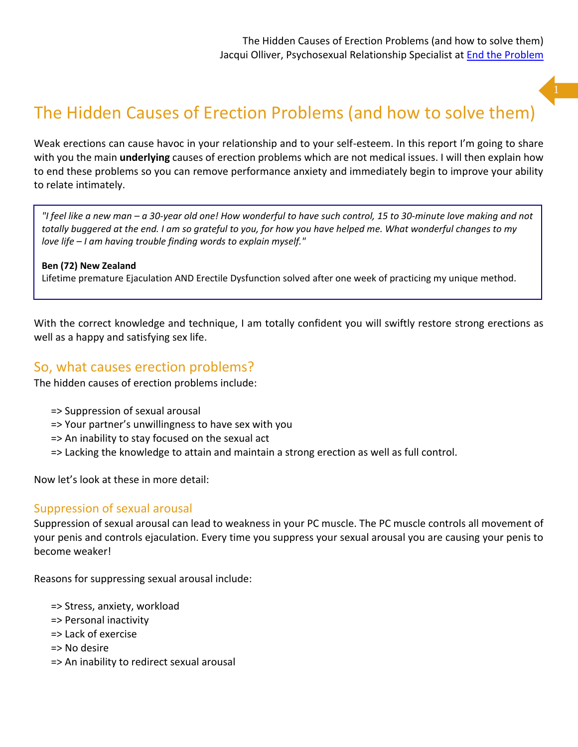# The Hidden Causes of Erection Problems (and how to solve them)

Weak erections can cause havoc in your relationship and to your self-esteem. In this report I'm going to share with you the main **underlying** causes of erection problems which are not medical issues. I will then explain how to end these problems so you can remove performance anxiety and immediately begin to improve your ability to relate intimately.

*"I feel like a new man – a 30-year old one! How wonderful to have such control, 15 to 30-minute love making and not totally buggered at the end. I am so grateful to you, for how you have helped me. What wonderful changes to my love life – I am having trouble finding words to explain myself."*

#### **Ben (72) New Zealand**

Lifetime premature Ejaculation AND Erectile Dysfunction solved after one week of practicing my unique method.

With the correct knowledge and technique, I am totally confident you will swiftly restore strong erections as well as a happy and satisfying sex life.

# So, what causes erection problems?

The hidden causes of erection problems include:

- => Suppression of sexual arousal
- => Your partner's unwillingness to have sex with you
- => An inability to stay focused on the sexual act
- => Lacking the knowledge to attain and maintain a strong erection as well as full control.

Now let's look at these in more detail:

#### Suppression of sexual arousal

Suppression of sexual arousal can lead to weakness in your PC muscle. The PC muscle controls all movement of your penis and controls ejaculation. Every time you suppress your sexual arousal you are causing your penis to become weaker!

Reasons for suppressing sexual arousal include:

- => Stress, anxiety, workload
- => Personal inactivity
- => Lack of exercise
- => No desire
- => An inability to redirect sexual arousal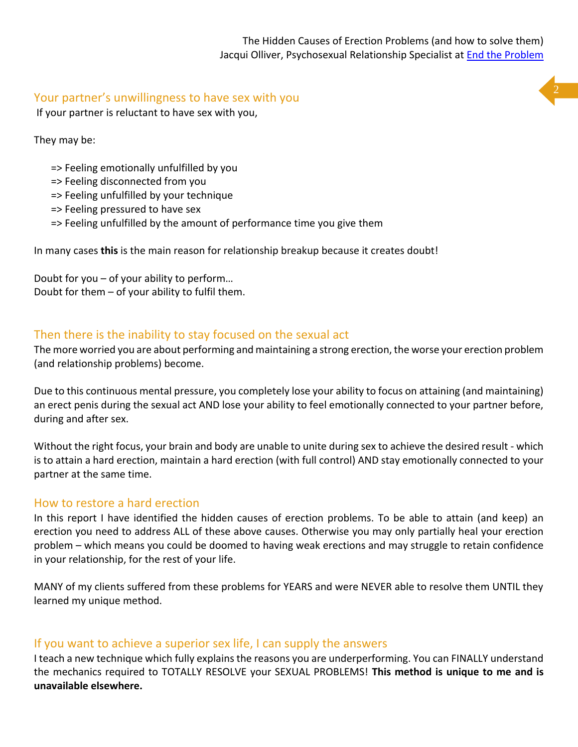#### The Hidden Causes of Erection Problems (and how to solve them) Jacqui Olliver, Psychosexual Relationship Specialist at **End the Problem**

#### Your partner's unwillingness to have sex with you

If your partner is reluctant to have sex with you,

They may be:

- => Feeling emotionally unfulfilled by you
- => Feeling disconnected from you
- => Feeling unfulfilled by your technique
- => Feeling pressured to have sex
- => Feeling unfulfilled by the amount of performance time you give them

In many cases **this** is the main reason for relationship breakup because it creates doubt!

Doubt for you – of your ability to perform… Doubt for them – of your ability to fulfil them.

### Then there is the inability to stay focused on the sexual act

The more worried you are about performing and maintaining a strong erection, the worse your erection problem (and relationship problems) become.

Due to this continuous mental pressure, you completely lose your ability to focus on attaining (and maintaining) an erect penis during the sexual act AND lose your ability to feel emotionally connected to your partner before, during and after sex.

Without the right focus, your brain and body are unable to unite during sex to achieve the desired result - which is to attain a hard erection, maintain a hard erection (with full control) AND stay emotionally connected to your partner at the same time.

#### How to restore a hard erection

In this report I have identified the hidden causes of erection problems. To be able to attain (and keep) an erection you need to address ALL of these above causes. Otherwise you may only partially heal your erection problem – which means you could be doomed to having weak erections and may struggle to retain confidence in your relationship, for the rest of your life.

MANY of my clients suffered from these problems for YEARS and were NEVER able to resolve them UNTIL they learned my unique method.

#### If you want to achieve a superior sex life, I can supply the answers

I teach a new technique which fully explains the reasons you are underperforming. You can FINALLY understand the mechanics required to TOTALLY RESOLVE your SEXUAL PROBLEMS! **This method is unique to me and is unavailable elsewhere.**